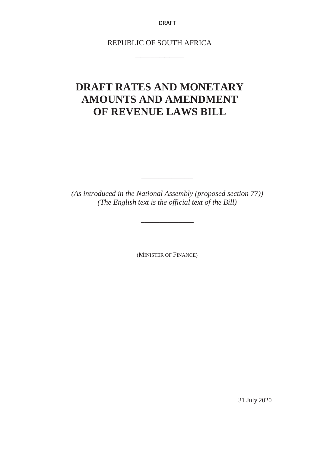REPUBLIC OF SOUTH AFRICA \_\_\_\_\_\_\_\_\_\_

## **DRAFT RATES AND MONETARY AMOUNTS AND AMENDMENT OF REVENUE LAWS BILL**

*(As introduced in the National Assembly (proposed section 77)) (The English text is the official text of the Bill)*

\_\_\_\_\_\_\_\_\_\_\_\_\_\_

\_\_\_\_\_\_\_\_\_\_\_\_

(MINISTER OF FINANCE)

31 July 2020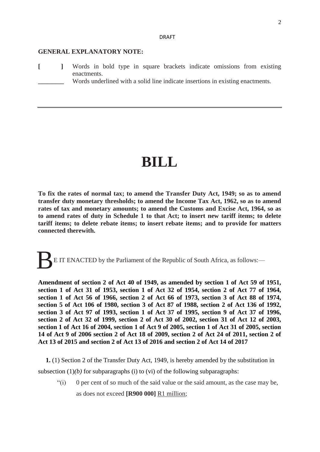## **GENERAL EXPLANATORY NOTE:**

- **[ ]** Words in bold type in square brackets indicate omissions from existing enactments.
	- Words underlined with a solid line indicate insertions in existing enactments.

# **BILL**

**To fix the rates of normal tax; to amend the Transfer Duty Act, 1949; so as to amend transfer duty monetary thresholds; to amend the Income Tax Act, 1962, so as to amend rates of tax and monetary amounts; to amend the Customs and Excise Act, 1964, so as to amend rates of duty in Schedule 1 to that Act; to insert new tariff items; to delete tariff items; to delete rebate items; to insert rebate items; and to provide for matters connected therewith.**

E IT ENACTED by the Parliament of the Republic of South Africa, as follows:— B

**Amendment of section 2 of Act 40 of 1949, as amended by section 1 of Act 59 of 1951, section 1 of Act 31 of 1953, section 1 of Act 32 of 1954, section 2 of Act 77 of 1964, section 1 of Act 56 of 1966, section 2 of Act 66 of 1973, section 3 of Act 88 of 1974, section 5 of Act 106 of 1980, section 3 of Act 87 of 1988, section 2 of Act 136 of 1992, section 3 of Act 97 of 1993, section 1 of Act 37 of 1995, section 9 of Act 37 of 1996, section 2 of Act 32 of 1999, section 2 of Act 30 of 2002, section 31 of Act 12 of 2003, section 1 of Act 16 of 2004, section 1 of Act 9 of 2005, section 1 of Act 31 of 2005, section 14 of Act 9 of 2006 section 2 of Act 18 of 2009, section 2 of Act 24 of 2011, section 2 of Act 13 of 2015 and section 2 of Act 13 of 2016 and section 2 of Act 14 of 2017**

**1.** (1) Section 2 of the Transfer Duty Act, 1949, is hereby amended by the substitution in subsection  $(1)(b)$  for subparagraphs (i) to (vi) of the following subparagraphs:

"(i) 0 per cent of so much of the said value or the said amount, as the case may be, as does not exceed **[R900 000]** R1 million;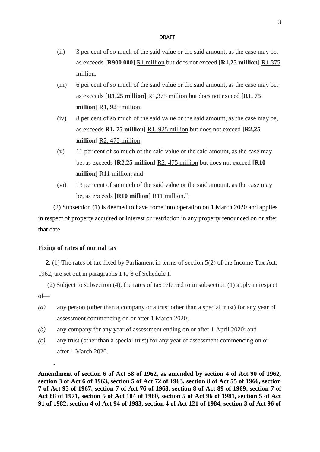- (ii) 3 per cent of so much of the said value or the said amount, as the case may be, as exceeds **[R900 000]** R1 million but does not exceed **[R1,25 million]** R1,375 million.
- (iii) 6 per cent of so much of the said value or the said amount, as the case may be, as exceeds **[R1,25 million]** R1,375 million but does not exceed **[R1, 75 million]** R1, 925 million;
- (iv) 8 per cent of so much of the said value or the said amount, as the case may be, as exceeds **R1, 75 million]** R1, 925 million but does not exceed **[R2,25 million]** R2, 475 million;
- (v) 11 per cent of so much of the said value or the said amount, as the case may be, as exceeds **[R2,25 million]** R2, 475 million but does not exceed **[R10 million]** R11 million; and
- (vi) 13 per cent of so much of the said value or the said amount, as the case may be, as exceeds **[R10 million]** R11 million.".

(2) Subsection (1) is deemed to have come into operation on 1 March 2020 and applies in respect of property acquired or interest or restriction in any property renounced on or after that date

## **Fixing of rates of normal tax**

**.**

**2.** (1) The rates of tax fixed by Parliament in terms of section 5(2) of the Income Tax Act, 1962, are set out in paragraphs 1 to 8 of Schedule I.

(2) Subject to subsection (4), the rates of tax referred to in subsection (1) apply in respect of—

- *(a)* any person (other than a company or a trust other than a special trust) for any year of assessment commencing on or after 1 March 2020;
- *(b)* any company for any year of assessment ending on or after 1 April 2020; and
- *(c)* any trust (other than a special trust) for any year of assessment commencing on or after 1 March 2020.

**Amendment of section 6 of Act 58 of 1962, as amended by section 4 of Act 90 of 1962, section 3 of Act 6 of 1963, section 5 of Act 72 of 1963, section 8 of Act 55 of 1966, section 7 of Act 95 of 1967, section 7 of Act 76 of 1968, section 8 of Act 89 of 1969, section 7 of Act 88 of 1971, section 5 of Act 104 of 1980, section 5 of Act 96 of 1981, section 5 of Act 91 of 1982, section 4 of Act 94 of 1983, section 4 of Act 121 of 1984, section 3 of Act 96 of**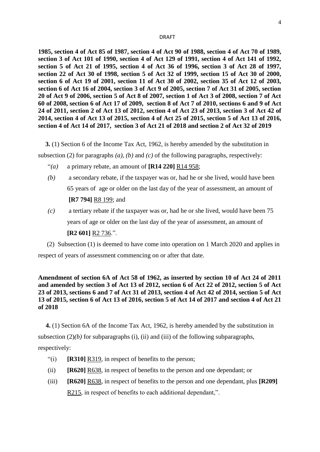**1985, section 4 of Act 85 of 1987, section 4 of Act 90 of 1988, section 4 of Act 70 of 1989, section 3 of Act 101 of 1990, section 4 of Act 129 of 1991, section 4 of Act 141 of 1992, section 5 of Act 21 of 1995, section 4 of Act 36 of 1996, section 3 of Act 28 of 1997, section 22 of Act 30 of 1998, section 5 of Act 32 of 1999, section 15 of Act 30 of 2000, section 6 of Act 19 of 2001, section 11 of Act 30 of 2002, section 35 of Act 12 of 2003, section 6 of Act 16 of 2004, section 3 of Act 9 of 2005, section 7 of Act 31 of 2005, section 20 of Act 9 of 2006, section 5 of Act 8 of 2007, section 1 of Act 3 of 2008, section 7 of Act 60 of 2008, section 6 of Act 17 of 2009, section 8 of Act 7 of 2010, sections 6 and 9 of Act 24 of 2011, section 2 of Act 13 of 2012, section 4 of Act 23 of 2013, section 3 of Act 42 of 2014, section 4 of Act 13 of 2015, section 4 of Act 25 of 2015, section 5 of Act 13 of 2016, section 4 of Act 14 of 2017, section 3 of Act 21 of 2018 and section 2 of Act 32 of 2019**

**3.** (1) Section 6 of the Income Tax Act, 1962, is hereby amended by the substitution in

subsection (2) for paragraphs *(a)*, *(b)* and *(c)* of the following paragraphs, respectively:

- "(a) a primary rebate, an amount of  $\left[\mathbf{R14}\,220\right]\,\mathbf{R14}\,958;$
- *(b)* a secondary rebate, if the taxpayer was or, had he or she lived, would have been 65 years of age or older on the last day of the year of assessment, an amount of **[R7 794]** R8 199; and
- *(c)* a tertiary rebate if the taxpayer was or, had he or she lived, would have been 75 years of age or older on the last day of the year of assessment, an amount of **[R2 601]** R2 736.".

(2) Subsection (1) is deemed to have come into operation on 1 March 2020 and applies in respect of years of assessment commencing on or after that date.

## **Amendment of section 6A of Act 58 of 1962, as inserted by section 10 of Act 24 of 2011 and amended by section 3 of Act 13 of 2012, section 6 of Act 22 of 2012, section 5 of Act 23 of 2013, sections 6 and 7 of Act 31 of 2013, section 4 of Act 42 of 2014, section 5 of Act 13 of 2015, section 6 of Act 13 of 2016, section 5 of Act 14 of 2017 and section 4 of Act 21 of 2018**

**4.** (1) Section 6A of the Income Tax Act, 1962, is hereby amended by the substitution in subsection  $(2)(b)$  for subparagraphs  $(i)$ ,  $(ii)$  and  $(iii)$  of the following subparagraphs, respectively:

- "(i) **[R310]** R319, in respect of benefits to the person;
- (ii) **[R620]** R638, in respect of benefits to the person and one dependant; or
- (iii) **[R620]** R638, in respect of benefits to the person and one dependant, plus **[R209]**  R215, in respect of benefits to each additional dependant,".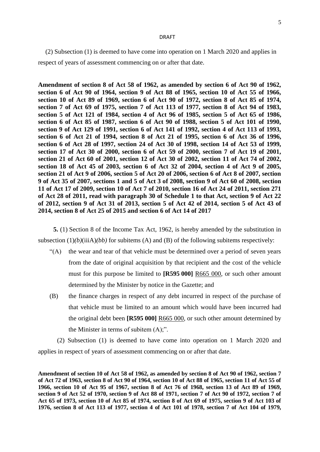(2) Subsection (1) is deemed to have come into operation on 1 March 2020 and applies in respect of years of assessment commencing on or after that date.

**Amendment of section 8 of Act 58 of 1962, as amended by section 6 of Act 90 of 1962, section 6 of Act 90 of 1964, section 9 of Act 88 of 1965, section 10 of Act 55 of 1966, section 10 of Act 89 of 1969, section 6 of Act 90 of 1972, section 8 of Act 85 of 1974, section 7 of Act 69 of 1975, section 7 of Act 113 of 1977, section 8 of Act 94 of 1983, section 5 of Act 121 of 1984, section 4 of Act 96 of 1985, section 5 of Act 65 of 1986, section 6 of Act 85 of 1987, section 6 of Act 90 of 1988, section 5 of Act 101 of 1990, section 9 of Act 129 of 1991, section 6 of Act 141 of 1992, section 4 of Act 113 of 1993, section 6 of Act 21 of 1994, section 8 of Act 21 of 1995, section 6 of Act 36 of 1996, section 6 of Act 28 of 1997, section 24 of Act 30 of 1998, section 14 of Act 53 of 1999, section 17 of Act 30 of 2000, section 6 of Act 59 of 2000, section 7 of Act 19 of 2001, section 21 of Act 60 of 2001, section 12 of Act 30 of 2002, section 11 of Act 74 of 2002, section 18 of Act 45 of 2003, section 6 of Act 32 of 2004, section 4 of Act 9 of 2005, section 21 of Act 9 of 2006, section 5 of Act 20 of 2006, section 6 of Act 8 of 2007, section 9 of Act 35 of 2007, sections 1 and 5 of Act 3 of 2008, section 9 of Act 60 of 2008, section 11 of Act 17 of 2009, section 10 of Act 7 of 2010, section 16 of Act 24 of 2011, section 271 of Act 28 of 2011, read with paragraph 30 of Schedule 1 to that Act, section 9 of Act 22 of 2012, section 9 of Act 31 of 2013, section 5 of Act 42 of 2014, section 5 of Act 43 of 2014, section 8 of Act 25 of 2015 and section 6 of Act 14 of 2017**

**5.** (1) Section 8 of the Income Tax Act, 1962, is hereby amended by the substitution in subsection (1)*(b)*(iiiA)*(bb)* for subitems (A) and (B) of the following subitems respectively:

- $<sup>4</sup>(A)$  the wear and tear of that vehicle must be determined over a period of seven years</sup> from the date of original acquisition by that recipient and the cost of the vehicle must for this purpose be limited to **[R595 000]** R665 000, or such other amount determined by the Minister by notice in the Gazette; and
- (B) the finance charges in respect of any debt incurred in respect of the purchase of that vehicle must be limited to an amount which would have been incurred had the original debt been **[R595 000]** R665 000, or such other amount determined by the Minister in terms of subitem  $(A)$ ;".

(2) Subsection (1) is deemed to have come into operation on 1 March 2020 and applies in respect of years of assessment commencing on or after that date.

**Amendment of section 10 of Act 58 of 1962, as amended by section 8 of Act 90 of 1962, section 7 of Act 72 of 1963, section 8 of Act 90 of 1964, section 10 of Act 88 of 1965, section 11 of Act 55 of 1966, section 10 of Act 95 of 1967, section 8 of Act 76 of 1968, section 13 of Act 89 of 1969, section 9 of Act 52 of 1970, section 9 of Act 88 of 1971, section 7 of Act 90 of 1972, section 7 of Act 65 of 1973, section 10 of Act 85 of 1974, section 8 of Act 69 of 1975, section 9 of Act 103 of 1976, section 8 of Act 113 of 1977, section 4 of Act 101 of 1978, section 7 of Act 104 of 1979,**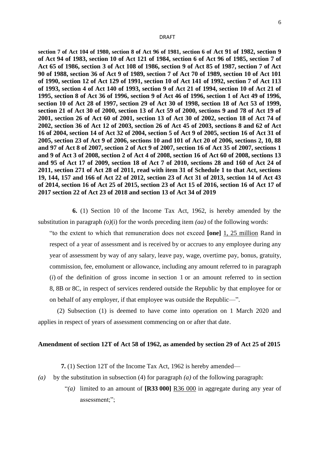**section 7 of Act 104 of 1980, section 8 of Act 96 of 1981, section 6 of Act 91 of 1982, section 9 of Act 94 of 1983, section 10 of Act 121 of 1984, section 6 of Act 96 of 1985, section 7 of Act 65 of 1986, section 3 of Act 108 of 1986, section 9 of Act 85 of 1987, section 7 of Act 90 of 1988, section 36 of Act 9 of 1989, section 7 of Act 70 of 1989, section 10 of Act 101 of 1990, section 12 of Act 129 of 1991, section 10 of Act 141 of 1992, section 7 of Act 113 of 1993, section 4 of Act 140 of 1993, section 9 of Act 21 of 1994, section 10 of Act 21 of 1995, section 8 of Act 36 of 1996, section 9 of Act 46 of 1996, section 1 of Act 49 of 1996, section 10 of Act 28 of 1997, section 29 of Act 30 of 1998, section 18 of Act 53 of 1999, section 21 of Act 30 of 2000, section 13 of Act 59 of 2000, sections 9 and 78 of Act 19 of 2001, section 26 of Act 60 of 2001, section 13 of Act 30 of 2002, section 18 of Act 74 of 2002, section 36 of Act 12 of 2003, section 26 of Act 45 of 2003, sections 8 and 62 of Act 16 of 2004, section 14 of Act 32 of 2004, section 5 of Act 9 of 2005, section 16 of Act 31 of 2005, section 23 of Act 9 of 2006, sections 10 and 101 of Act 20 of 2006, sections 2, 10, 88 and 97 of Act 8 of 2007, section 2 of Act 9 of 2007, section 16 of Act 35 of 2007, sections 1 and 9 of Act 3 of 2008, section 2 of Act 4 of 2008, section 16 of Act 60 of 2008, sections 13 and 95 of Act 17 of 2009, section 18 of Act 7 of 2010, sections 28 and 160 of Act 24 of 2011, section 271 of Act 28 of 2011, read with item 31 of Schedule 1 to that Act, sections 19, 144, 157 and 166 of Act 22 of 2012, section 23 of Act 31 of 2013, section 14 of Act 43 of 2014, section 16 of Act 25 of 2015, section 23 of Act 15 of 2016, section 16 of Act 17 of 2017 section 22 of Act 23 of 2018 and section 13 of Act 34 of 2019**

**6.** (1) Section 10 of the Income Tax Act, 1962, is hereby amended by the substitution in paragraph *(o)*(i) for the words preceding item *(aa)* of the following words:

"to the extent to which that remuneration does not exceed **[one]** 1, 25 million Rand in respect of a year of assessment and is received by or accrues to any employee during any year of assessment by way of any salary, leave pay, wage, overtime pay, bonus, gratuity, commission, fee, emolument or allowance, including any amount referred to in paragraph (*i*) of the definition of gross income in section 1 or an amount referred to in section 8, 8B or 8C, in respect of services rendered outside the Republic by that employee for or on behalf of any employer, if that employee was outside the Republic—".

(2) Subsection (1) is deemed to have come into operation on 1 March 2020 and applies in respect of years of assessment commencing on or after that date.

## **Amendment of section 12T of Act 58 of 1962, as amended by section 29 of Act 25 of 2015**

**7.** (1) Section 12T of the Income Tax Act, 1962 is hereby amended—

- *(a)* by the substitution in subsection (4) for paragraph *(a)* of the following paragraph:
	- "*(a)* limited to an amount of **[R33 000]** R36 000 in aggregate during any year of assessment;";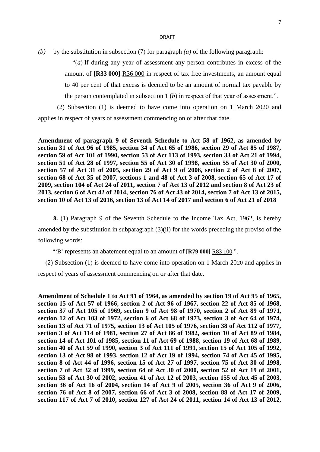*(b)* by the substitution in subsection (7) for paragraph *(a)* of the following paragraph:

"(*a*) If during any year of assessment any person contributes in excess of the amount of **[R33 000]** R36 000 in respect of tax free investments, an amount equal to 40 per cent of that excess is deemed to be an amount of normal tax payable by the person contemplated in subsection 1 (*b*) in respect of that year of assessment.".

(2) Subsection (1) is deemed to have come into operation on 1 March 2020 and applies in respect of years of assessment commencing on or after that date.

**Amendment of paragraph 9 of Seventh Schedule to Act 58 of 1962, as amended by section 31 of Act 96 of 1985, section 34 of Act 65 of 1986, section 29 of Act 85 of 1987, section 59 of Act 101 of 1990, section 53 of Act 113 of 1993, section 33 of Act 21 of 1994, section 51 of Act 28 of 1997, section 55 of Act 30 of 1998, section 55 of Act 30 of 2000, section 57 of Act 31 of 2005, section 29 of Act 9 of 2006, section 2 of Act 8 of 2007, section 68 of Act 35 of 2007, sections 1 and 48 of Act 3 of 2008, section 65 of Act 17 of 2009, section 104 of Act 24 of 2011, section 7 of Act 13 of 2012 and section 8 of Act 23 of 2013, section 6 of Act 42 of 2014, section 76 of Act 43 of 2014, section 7 of Act 13 of 2015, section 10 of Act 13 of 2016, section 13 of Act 14 of 2017 and section 6 of Act 21 of 2018**

**8.** (1) Paragraph 9 of the Seventh Schedule to the Income Tax Act, 1962, is hereby amended by the substitution in subparagraph (3)(ii) for the words preceding the proviso of the following words:

"'B' represents an abatement equal to an amount of **[R79 000]** R83 100:".

(2) Subsection (1) is deemed to have come into operation on 1 March 2020 and applies in respect of years of assessment commencing on or after that date.

**Amendment of Schedule 1 to Act 91 of 1964, as amended by section 19 of Act 95 of 1965, section 15 of Act 57 of 1966, section 2 of Act 96 of 1967, section 22 of Act 85 of 1968, section 37 of Act 105 of 1969, section 9 of Act 98 of 1970, section 2 of Act 89 of 1971, section 12 of Act 103 of 1972, section 6 of Act 68 of 1973, section 3 of Act 64 of 1974, section 13 of Act 71 of 1975, section 13 of Act 105 of 1976, section 38 of Act 112 of 1977, section 3 of Act 114 of 1981, section 27 of Act 86 of 1982, section 10 of Act 89 of 1984, section 14 of Act 101 of 1985, section 11 of Act 69 of 1988, section 19 of Act 68 of 1989, section 40 of Act 59 of 1990, section 3 of Act 111 of 1991, section 15 of Act 105 of 1992, section 13 of Act 98 of 1993, section 12 of Act 19 of 1994, section 74 of Act 45 of 1995, section 8 of Act 44 of 1996, section 15 of Act 27 of 1997, section 75 of Act 30 of 1998, section 7 of Act 32 of 1999, section 64 of Act 30 of 2000, section 52 of Act 19 of 2001, section 53 of Act 30 of 2002, section 41 of Act 12 of 2003, section 155 of Act 45 of 2003, section 36 of Act 16 of 2004, section 14 of Act 9 of 2005, section 36 of Act 9 of 2006, section 76 of Act 8 of 2007, section 66 of Act 3 of 2008, section 88 of Act 17 of 2009, section 117 of Act 7 of 2010, section 127 of Act 24 of 2011, section 14 of Act 13 of 2012,**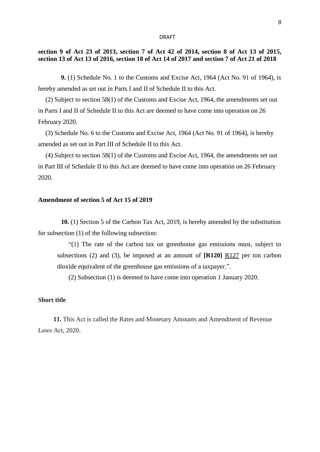## **section 9 of Act 23 of 2013, section 7 of Act 42 of 2014, section 8 of Act 13 of 2015, section 13 of Act 13 of 2016, section 18 of Act 14 of 2017 and section 7 of Act 21 of 2018**

**9.** (1) Schedule No. 1 to the Customs and Excise Act, 1964 (Act No. 91 of 1964), is hereby amended as set out in Parts I and II of Schedule II to this Act.

(2) Subject to section 58(1) of the Customs and Excise Act, 1964, the amendments set out in Parts I and II of Schedule II to this Act are deemed to have come into operation on 26 February 2020.

(3) Schedule No. 6 to the Customs and Excise Act, 1964 (Act No. 91 of 1964), is hereby amended as set out in Part III of Schedule II to this Act.

(4) Subject to section 58(1) of the Customs and Excise Act, 1964, the amendments set out in Part III of Schedule II to this Act are deemed to have come into operation on 26 February 2020.

#### **Amendment of section 5 of Act 15 of 2019**

**10.** (1) Section 5 of the Carbon Tax Act, 2019, is hereby amended by the substitution for subsection (1) of the following subsection:

"(1) The rate of the carbon tax on greenhouse gas emissions must, subject to subsections (2) and (3), be imposed at an amount of **[R120]** R127 per ton carbon dioxide equivalent of the greenhouse gas emissions of a taxpayer.".

(2) Subsection (1) is deemed to have come into operation 1 January 2020.

#### **Short title**

**11.** This Act is called the Rates and Monetary Amounts and Amendment of Revenue Laws Act, 2020.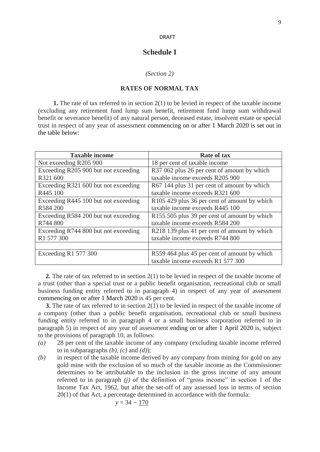## **Schedule I**

#### *(Section 2)*

## **RATES OF NORMAL TAX**

**1.** The rate of tax referred to in section 2(1) to be levied in respect of the taxable income (excluding any retirement fund lump sum benefit, retirement fund lump sum withdrawal benefit or severance benefit) of any natural person, deceased estate, insolvent estate or special trust in respect of any year of assessment commencing on or after 1 March 2020 is set out in the table below:

| <b>Taxable income</b>                | <b>Rate of tax</b>                                       |
|--------------------------------------|----------------------------------------------------------|
| Not exceeding R205 900               | 18 per cent of taxable income                            |
| Exceeding R205 900 but not exceeding | R37 062 plus 26 per cent of amount by which              |
| R321 600                             | taxable income exceeds R205 900                          |
| Exceeding R321 600 but not exceeding | R67 144 plus 31 per cent of amount by which              |
| R445 100                             | taxable income exceeds R321 600                          |
| Exceeding R445 100 but not exceeding | R <sub>105</sub> 429 plus 36 per cent of amount by which |
| R584 200                             | taxable income exceeds R445 100                          |
| Exceeding R584 200 but not exceeding | R155 505 plus 39 per cent of amount by which             |
| R744 800                             | taxable income exceeds R584 200                          |
| Exceeding R744 800 but not exceeding | R218 139 plus 41 per cent of amount by which             |
| R1 577 300                           | taxable income exceeds R744 800                          |
|                                      |                                                          |
| Exceeding $R1$ 577 300               | R559 464 plus 45 per cent of amount by which             |
|                                      | taxable income exceeds R1 577 300                        |

**2.** The rate of tax referred to in section 2(1) to be levied in respect of the taxable income of a trust (other than a special trust or a public benefit organisation, recreational club or small business funding entity referred to in paragraph 4) in respect of any year of assessment commencing on or after 1 March 2020 is 45 per cent.

**3.** The rate of tax referred to in section 2(1) to be levied in respect of the taxable income of a company (other than a public benefit organisation, recreational club or small business funding entity referred to in paragraph 4 or a small business corporation referred to in paragraph 5) in respect of any year of assessment ending on or after 1 April 2020 is, subject to the provisions of paragraph 10, as follows:

- *(a)* 28 per cent of the taxable income of any company (excluding taxable income referred to in subparagraphs  $(b)$ ,  $(c)$  and  $(d)$ ;
- *(b)* in respect of the taxable income derived by any company from mining for gold on any gold mine with the exclusion of so much of the taxable income as the Commissioner determines to be attributable to the inclusion in the gross income of any amount referred to in paragraph *(j)* of the definition of "gross income" in section 1 of the Income Tax Act, 1962, but after the set-off of any assessed loss in terms of section 20(1) of that Act, a percentage determined in accordance with the formula:

$$
y = 34 - \underline{170}
$$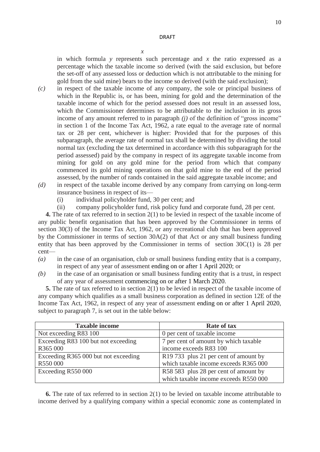*x*

in which formula *y* represents such percentage and *x* the ratio expressed as a percentage which the taxable income so derived (with the said exclusion, but before the set-off of any assessed loss or deduction which is not attributable to the mining for gold from the said mine) bears to the income so derived (with the said exclusion);

- *(c)* in respect of the taxable income of any company, the sole or principal business of which in the Republic is, or has been, mining for gold and the determination of the taxable income of which for the period assessed does not result in an assessed loss, which the Commissioner determines to be attributable to the inclusion in its gross income of any amount referred to in paragraph *(j)* of the definition of "gross income" in section 1 of the Income Tax Act, 1962, a rate equal to the average rate of normal tax or 28 per cent, whichever is higher: Provided that for the purposes of this subparagraph, the average rate of normal tax shall be determined by dividing the total normal tax (excluding the tax determined in accordance with this subparagraph for the period assessed) paid by the company in respect of its aggregate taxable income from mining for gold on any gold mine for the period from which that company commenced its gold mining operations on that gold mine to the end of the period assessed, by the number of rands contained in the said aggregate taxable income; and
- *(d)* in respect of the taxable income derived by any company from carrying on long-term insurance business in respect of its—
	- (i) individual policyholder fund, 30 per cent; and
	- (ii) company policyholder fund, risk policy fund and corporate fund, 28 per cent.

**4.** The rate of tax referred to in section 2(1) to be levied in respect of the taxable income of any public benefit organisation that has been approved by the Commissioner in terms of section 30(3) of the Income Tax Act, 1962, or any recreational club that has been approved by the Commissioner in terms of section 30A(2) of that Act or any small business funding entity that has been approved by the Commissioner in terms of section 30C(1) is 28 per cent—

- *(a)* in the case of an organisation, club or small business funding entity that is a company, in respect of any year of assessment ending on or after 1 April 2020; or
- *(b)* in the case of an organisation or small business funding entity that is a trust, in respect of any year of assessment commencing on or after 1 March 2020.

**5.** The rate of tax referred to in section 2(1) to be levied in respect of the taxable income of any company which qualifies as a small business corporation as defined in section 12E of the Income Tax Act, 1962, in respect of any year of assessment ending on or after 1 April 2020, subject to paragraph 7, is set out in the table below:

| <b>Taxable income</b>                | Rate of tax                           |
|--------------------------------------|---------------------------------------|
| Not exceeding R83 100                | 0 per cent of taxable income          |
| Exceeding R83 100 but not exceeding  | 7 per cent of amount by which taxable |
| R365 000                             | income exceeds R83 100                |
| Exceeding R365 000 but not exceeding | R19 733 plus 21 per cent of amount by |
| R550 000                             | which taxable income exceeds R365 000 |
| Exceeding R550 000                   | R58 583 plus 28 per cent of amount by |
|                                      | which taxable income exceeds R550 000 |

**6.** The rate of tax referred to in section 2(1) to be levied on taxable income attributable to income derived by a qualifying company within a special economic zone as contemplated in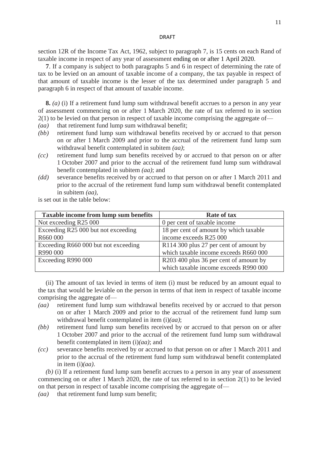section 12R of the Income Tax Act, 1962, subject to paragraph 7, is 15 cents on each Rand of taxable income in respect of any year of assessment ending on or after 1 April 2020.

**7**. If a company is subject to both paragraphs 5 and 6 in respect of determining the rate of tax to be levied on an amount of taxable income of a company, the tax payable in respect of that amount of taxable income is the lesser of the tax determined under paragraph 5 and paragraph 6 in respect of that amount of taxable income.

**8.** *(a)* (i) If a retirement fund lump sum withdrawal benefit accrues to a person in any year of assessment commencing on or after 1 March 2020, the rate of tax referred to in section 2(1) to be levied on that person in respect of taxable income comprising the aggregate of—

- *(aa)* that retirement fund lump sum withdrawal benefit;
- *(bb)* retirement fund lump sum withdrawal benefits received by or accrued to that person on or after 1 March 2009 and prior to the accrual of the retirement fund lump sum withdrawal benefit contemplated in subitem *(aa)*;
- *(cc)* retirement fund lump sum benefits received by or accrued to that person on or after 1 October 2007 and prior to the accrual of the retirement fund lump sum withdrawal benefit contemplated in subitem *(aa)*; and
- *(dd)* severance benefits received by or accrued to that person on or after 1 March 2011 and prior to the accrual of the retirement fund lump sum withdrawal benefit contemplated in subitem *(aa)*,

is set out in the table below:

| Taxable income from lump sum benefits | <b>Rate of tax</b>                     |
|---------------------------------------|----------------------------------------|
| Not exceeding R25 000                 | 0 per cent of taxable income           |
| Exceeding R25 000 but not exceeding   | 18 per cent of amount by which taxable |
| R660 000                              | income exceeds R25 000                 |
| Exceeding R660 000 but not exceeding  | R114 300 plus 27 per cent of amount by |
| R990 000                              | which taxable income exceeds R660 000  |
| Exceeding R990 000                    | R203 400 plus 36 per cent of amount by |
|                                       | which taxable income exceeds R990 000  |

(ii) The amount of tax levied in terms of item (i) must be reduced by an amount equal to the tax that would be leviable on the person in terms of that item in respect of taxable income comprising the aggregate of—

- *(aa)* retirement fund lump sum withdrawal benefits received by or accrued to that person on or after 1 March 2009 and prior to the accrual of the retirement fund lump sum withdrawal benefit contemplated in item (i)*(aa)*;
- *(bb)* retirement fund lump sum benefits received by or accrued to that person on or after 1 October 2007 and prior to the accrual of the retirement fund lump sum withdrawal benefit contemplated in item (i)*(aa)*; and
- *(cc)* severance benefits received by or accrued to that person on or after 1 March 2011 and prior to the accrual of the retirement fund lump sum withdrawal benefit contemplated in item (i)*(aa)*.

*(b)* (i) If a retirement fund lump sum benefit accrues to a person in any year of assessment commencing on or after 1 March 2020, the rate of tax referred to in section 2(1) to be levied on that person in respect of taxable income comprising the aggregate of—

*(aa)* that retirement fund lump sum benefit;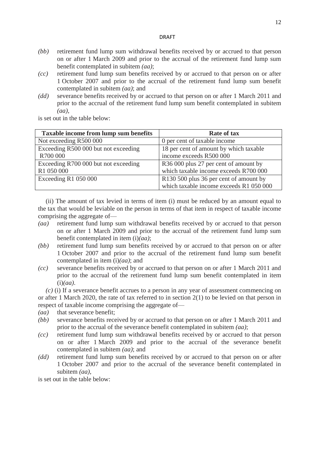- *(bb)* retirement fund lump sum withdrawal benefits received by or accrued to that person on or after 1 March 2009 and prior to the accrual of the retirement fund lump sum benefit contemplated in subitem *(aa)*;
- *(cc)* retirement fund lump sum benefits received by or accrued to that person on or after 1 October 2007 and prior to the accrual of the retirement fund lump sum benefit contemplated in subitem *(aa)*; and
- *(dd)* severance benefits received by or accrued to that person on or after 1 March 2011 and prior to the accrual of the retirement fund lump sum benefit contemplated in subitem *(aa)*,

is set out in the table below:

| <b>Taxable income from lump sum benefits</b> | <b>Rate of tax</b>                                 |
|----------------------------------------------|----------------------------------------------------|
| Not exceeding R500 000                       | 0 per cent of taxable income                       |
| Exceeding R500 000 but not exceeding         | 18 per cent of amount by which taxable             |
| R700 000                                     | income exceeds R500 000                            |
| Exceeding R700 000 but not exceeding         | R36 000 plus 27 per cent of amount by              |
| R1 050 000                                   | which taxable income exceeds R700 000              |
| Exceeding $R1$ 050 000                       | R <sub>130</sub> 500 plus 36 per cent of amount by |
|                                              | which taxable income exceeds R1 050 000            |

(ii) The amount of tax levied in terms of item (i) must be reduced by an amount equal to the tax that would be leviable on the person in terms of that item in respect of taxable income comprising the aggregate of—

- *(aa)* retirement fund lump sum withdrawal benefits received by or accrued to that person on or after 1 March 2009 and prior to the accrual of the retirement fund lump sum benefit contemplated in item (i)*(aa)*;
- *(bb)* retirement fund lump sum benefits received by or accrued to that person on or after 1 October 2007 and prior to the accrual of the retirement fund lump sum benefit contemplated in item (i)*(aa)*; and
- *(cc)* severance benefits received by or accrued to that person on or after 1 March 2011 and prior to the accrual of the retirement fund lump sum benefit contemplated in item (i)*(aa)*.

*(c)* (i) If a severance benefit accrues to a person in any year of assessment commencing on or after 1 March 2020, the rate of tax referred to in section 2(1) to be levied on that person in respect of taxable income comprising the aggregate of—

- (*aa*) that severance benefit;
- *(bb)* severance benefits received by or accrued to that person on or after 1 March 2011 and prior to the accrual of the severance benefit contemplated in subitem *(aa)*;
- *(cc)* retirement fund lump sum withdrawal benefits received by or accrued to that person on or after 1 March 2009 and prior to the accrual of the severance benefit contemplated in subitem *(aa)*; and
- *(dd)* retirement fund lump sum benefits received by or accrued to that person on or after 1 October 2007 and prior to the accrual of the severance benefit contemplated in subitem *(aa)*,

is set out in the table below: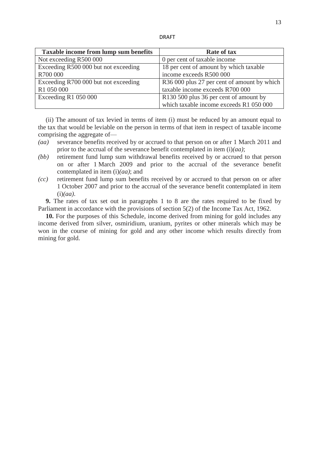| L. | - |  |
|----|---|--|
|    |   |  |

| Taxable income from lump sum benefits | <b>Rate of tax</b>                                 |
|---------------------------------------|----------------------------------------------------|
| Not exceeding R500 000                | 0 per cent of taxable income                       |
| Exceeding R500 000 but not exceeding  | 18 per cent of amount by which taxable             |
| R700 000                              | income exceeds R500 000                            |
| Exceeding R700 000 but not exceeding  | R36 000 plus 27 per cent of amount by which        |
| R1 050 000                            | taxable income exceeds R700 000                    |
| Exceeding R1 050 000                  | R <sub>130</sub> 500 plus 36 per cent of amount by |
|                                       | which taxable income exceeds R1 050 000            |

(ii) The amount of tax levied in terms of item (i) must be reduced by an amount equal to the tax that would be leviable on the person in terms of that item in respect of taxable income comprising the aggregate of—

- *(aa)* severance benefits received by or accrued to that person on or after 1 March 2011 and prior to the accrual of the severance benefit contemplated in item (i)*(aa)*;
- *(bb)* retirement fund lump sum withdrawal benefits received by or accrued to that person on or after 1 March 2009 and prior to the accrual of the severance benefit contemplated in item (i)*(aa)*; and
- *(cc)* retirement fund lump sum benefits received by or accrued to that person on or after 1 October 2007 and prior to the accrual of the severance benefit contemplated in item (i)*(aa)*.

**9.** The rates of tax set out in paragraphs 1 to 8 are the rates required to be fixed by Parliament in accordance with the provisions of section 5(2) of the Income Tax Act, 1962.

**10.** For the purposes of this Schedule, income derived from mining for gold includes any income derived from silver, osmiridium, uranium, pyrites or other minerals which may be won in the course of mining for gold and any other income which results directly from mining for gold.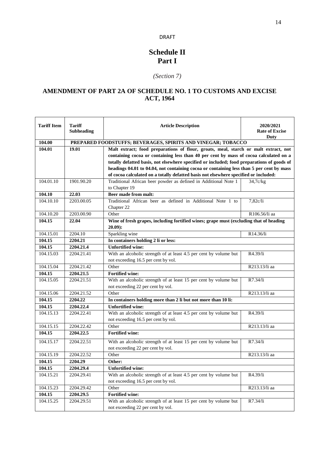## **Schedule II Part I**

## *(Section 7)*

## **AMENDMENT OF PART 2A OF SCHEDULE NO. 1 TO CUSTOMS AND EXCISE ACT, 1964**

| <b>Tariff Item</b> | <b>Tariff</b><br>Subheading                                  | <b>Article Description</b>                                                                          | 2020/2021<br><b>Rate of Excise</b><br>Duty |  |
|--------------------|--------------------------------------------------------------|-----------------------------------------------------------------------------------------------------|--------------------------------------------|--|
| 104.00             | PREPARED FOODSTUFFS; BEVERAGES, SPIRITS AND VINEGAR; TOBACCO |                                                                                                     |                                            |  |
| 104.01             | 19.01                                                        | Malt extract; food preparations of flour, groats, meal, starch or malt extract, not                 |                                            |  |
|                    |                                                              | containing cocoa or containing less than 40 per cent by mass of cocoa calculated on a               |                                            |  |
|                    |                                                              | totally defatted basis, not elsewhere specified or included; food preparations of goods of          |                                            |  |
|                    |                                                              | headings 04.01 to 04.04, not containing cocoa or containing less than 5 per cent by mass            |                                            |  |
|                    | 1901.90.20                                                   | of cocoa calculated on a totally defatted basis not elsewhere specified or included:                |                                            |  |
| 104.01.10          |                                                              | Traditional African beer powder as defined in Additional Note 1<br>to Chapter 19                    | 34,7c/kg                                   |  |
| 104.10             | 22.03                                                        | Beer made from malt:                                                                                |                                            |  |
| 104.10.10          | 2203.00.05                                                   | Traditional African beer as defined in Additional Note 1 to                                         | 7,82c/li                                   |  |
|                    |                                                              | Chapter 22                                                                                          |                                            |  |
| 104.10.20          | 2203.00.90                                                   | Other                                                                                               | R106.56/li aa                              |  |
| 104.15             | 22.04                                                        | Wine of fresh grapes, including fortified wines; grape must (excluding that of heading<br>$20.09$ : |                                            |  |
| 104.15.01          | 2204.10                                                      | Sparkling wine                                                                                      | R14.36/li                                  |  |
| 104.15             | 2204.21                                                      | In containers holding 2 li or less:                                                                 |                                            |  |
| 104.15             | 2204.21.4                                                    | <b>Unfortified wine:</b>                                                                            |                                            |  |
| 104.15.03          | 2204.21.41                                                   | With an alcoholic strength of at least 4.5 per cent by volume but                                   | R4.39/li                                   |  |
|                    |                                                              | not exceeding 16.5 per cent by vol.                                                                 |                                            |  |
| 104.15.04          | 2204.21.42                                                   | Other                                                                                               | R213.13/li aa                              |  |
| 104.15             | 2204.21.5                                                    | <b>Fortified wine:</b>                                                                              |                                            |  |
| 104.15.05          | 2204.21.51                                                   | With an alcoholic strength of at least 15 per cent by volume but                                    | R7.34/li                                   |  |
|                    |                                                              | not exceeding 22 per cent by vol.                                                                   |                                            |  |
| 104.15.06          | 2204.21.52                                                   | Other                                                                                               | R213.13/li aa                              |  |
| 104.15             | 2204.22                                                      | In containers holding more than 2 li but not more than 10 li:                                       |                                            |  |
| 104.15             | 2204.22.4                                                    | <b>Unfortified wine:</b>                                                                            |                                            |  |
| 104.15.13          | 2204.22.41                                                   | With an alcoholic strength of at least 4.5 per cent by volume but                                   | R4.39/li                                   |  |
|                    |                                                              | not exceeding 16.5 per cent by vol.                                                                 |                                            |  |
| 104.15.15          | 2204.22.42                                                   | Other                                                                                               | R213.13/li aa                              |  |
| 104.15             | 2204.22.5                                                    | <b>Fortified wine:</b>                                                                              |                                            |  |
| 104.15.17          | 2204.22.51                                                   | With an alcoholic strength of at least 15 per cent by volume but                                    | R7.34/li                                   |  |
|                    |                                                              | not exceeding 22 per cent by vol.                                                                   |                                            |  |
| 104.15.19          | 2204.22.52                                                   | Other                                                                                               | R213.13/li aa                              |  |
| 104.15             | 2204.29                                                      | Other:                                                                                              |                                            |  |
| 104.15             | 2204.29.4                                                    | <b>Unfortified wine:</b>                                                                            |                                            |  |
| 104.15.21          | 2204.29.41                                                   | With an alcoholic strength of at least 4.5 per cent by volume but                                   | R4.39/li                                   |  |
|                    |                                                              | not exceeding 16.5 per cent by vol.                                                                 |                                            |  |
| 104.15.23          | 2204.29.42                                                   | Other                                                                                               | R213.13/li aa                              |  |
| 104.15             | 2204.29.5                                                    | <b>Fortified wine:</b>                                                                              |                                            |  |
| 104.15.25          | 2204.29.51                                                   | With an alcoholic strength of at least 15 per cent by volume but                                    | R7.34/li                                   |  |
|                    |                                                              | not exceeding 22 per cent by vol.                                                                   |                                            |  |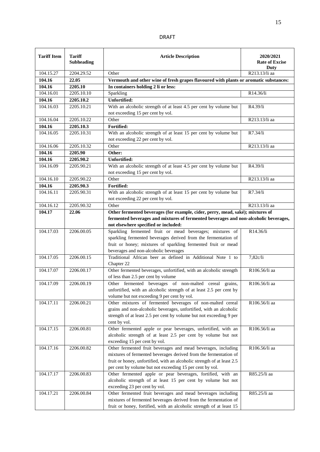| <b>Tariff Item</b> | <b>Tariff</b><br><b>Subheading</b> | <b>Article Description</b>                                                                                                                                                                                                                                               | 2020/2021<br><b>Rate of Excise</b><br>Duty |
|--------------------|------------------------------------|--------------------------------------------------------------------------------------------------------------------------------------------------------------------------------------------------------------------------------------------------------------------------|--------------------------------------------|
| 104.15.27          | 2204.29.52                         | Other                                                                                                                                                                                                                                                                    | R213.13/li aa                              |
| 104.16             | 22.05                              | Vermouth and other wine of fresh grapes flavoured with plants or aromatic substances:                                                                                                                                                                                    |                                            |
| 104.16             | 2205.10                            | In containers holding 2 li or less:                                                                                                                                                                                                                                      |                                            |
| 104.16.01          | 2205.10.10                         | Sparkling                                                                                                                                                                                                                                                                | R14.36/li                                  |
| 104.16             | 2205.10.2                          | <b>Unfortified:</b>                                                                                                                                                                                                                                                      |                                            |
| 104.16.03          | 2205.10.21                         | With an alcoholic strength of at least 4.5 per cent by volume but<br>not exceeding 15 per cent by vol.                                                                                                                                                                   | R4.39/li                                   |
| 104.16.04          | 2205.10.22                         | Other                                                                                                                                                                                                                                                                    | R213.13/li aa                              |
| 104.16             | 2205.10.3                          | Fortified:                                                                                                                                                                                                                                                               |                                            |
| 104.16.05          | 2205.10.31                         | With an alcoholic strength of at least 15 per cent by volume but                                                                                                                                                                                                         | R7.34/li                                   |
|                    |                                    | not exceeding 22 per cent by vol.                                                                                                                                                                                                                                        |                                            |
| 104.16.06          | 2205.10.32                         | Other                                                                                                                                                                                                                                                                    | R213.13/li aa                              |
| 104.16             | 2205.90                            | Other:                                                                                                                                                                                                                                                                   |                                            |
| 104.16             | 2205.90.2                          | <b>Unfortified:</b>                                                                                                                                                                                                                                                      |                                            |
| 104.16.09          | 2205.90.21                         | With an alcoholic strength of at least 4.5 per cent by volume but<br>not exceeding 15 per cent by vol.                                                                                                                                                                   | R4.39/li                                   |
| 104.16.10          | 2205.90.22                         | Other                                                                                                                                                                                                                                                                    | R213.13/li aa                              |
| 104.16             | 2205.90.3                          | Fortified:                                                                                                                                                                                                                                                               |                                            |
| 104.16.11          | 2205.90.31                         | With an alcoholic strength of at least 15 per cent by volume but                                                                                                                                                                                                         | R7.34/li                                   |
|                    |                                    | not exceeding 22 per cent by vol.                                                                                                                                                                                                                                        |                                            |
| 104.16.12          | 2205.90.32                         | Other                                                                                                                                                                                                                                                                    | R213.13/li aa                              |
| 104.17             | 22.06                              | Other fermented beverages (for example, cider, perry, mead, saké); mixtures of<br>fermented beverages and mixtures of fermented beverages and non-alcoholic beverages,<br>not elsewhere specified or included:                                                           |                                            |
| 104.17.03          | 2206.00.05                         | Sparkling fermented fruit or mead beverages; mixtures of<br>sparkling fermented beverages derived from the fermentation of<br>fruit or honey; mixtures of sparkling fermented fruit or mead<br>beverages and non-alcoholic beverages                                     | R14.36/li                                  |
| 104.17.05          | 2206.00.15                         | Traditional African beer as defined in Additional Note 1 to<br>Chapter 22                                                                                                                                                                                                | 7,82c/li                                   |
| 104.17.07          | 2206.00.17                         | Other fermented beverages, unfortified, with an alcoholic strength<br>of less than 2.5 per cent by volume                                                                                                                                                                | R106.56/li aa                              |
| 104.17.09          | 2206.00.19                         | Other fermented beverages of non-malted cereal grains,<br>unfortified, with an alcoholic strength of at least 2.5 per cent by<br>volume but not exceeding 9 per cent by vol.                                                                                             | R106.56/li aa                              |
| 104.17.11          | 2206.00.21                         | Other mixtures of fermented beverages of non-malted cereal<br>grains and non-alcoholic beverages, unfortified, with an alcoholic<br>strength of at least 2.5 per cent by volume but not exceeding 9 per<br>cent by vol.                                                  | R106.56/li aa                              |
| 104.17.15          | 2206.00.81                         | Other fermented apple or pear beverages, unfortified, with an<br>alcoholic strength of at least 2.5 per cent by volume but not<br>exceeding 15 per cent by vol.                                                                                                          | R106.56/li aa                              |
| 104.17.16          | 2206.00.82                         | Other fermented fruit beverages and mead beverages, including<br>mixtures of fermented beverages derived from the fermentation of<br>fruit or honey, unfortified, with an alcoholic strength of at least 2.5<br>per cent by volume but not exceeding 15 per cent by vol. | R106.56/li aa                              |
| 104.17.17          | 2206.00.83                         | Other fermented apple or pear beverages, fortified, with an<br>alcoholic strength of at least 15 per cent by volume but not<br>exceeding 23 per cent by vol.                                                                                                             | R85.25/li aa                               |
| 104.17.21          | 2206.00.84                         | Other fermented fruit beverages and mead beverages including<br>mixtures of fermented beverages derived from the fermentation of<br>fruit or honey, fortified, with an alcoholic strength of at least 15                                                                 | R85.25/li aa                               |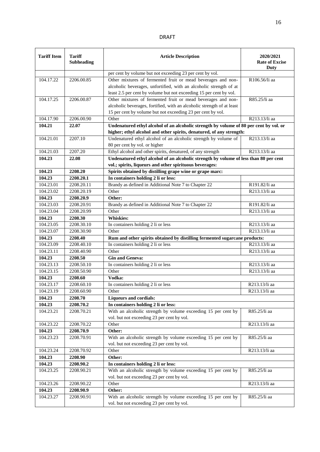|--|--|

| <b>Tariff Item</b> | <b>Tariff</b><br><b>Subheading</b> | <b>Article Description</b>                                                                                                                                     | 2020/2021<br><b>Rate of Excise</b><br>Duty |
|--------------------|------------------------------------|----------------------------------------------------------------------------------------------------------------------------------------------------------------|--------------------------------------------|
|                    |                                    | per cent by volume but not exceeding 23 per cent by vol.                                                                                                       |                                            |
| 104.17.22          | 2206.00.85                         | Other mixtures of fermented fruit or mead beverages and non-                                                                                                   | R106.56/li aa                              |
|                    |                                    | alcoholic beverages, unfortified, with an alcoholic strength of at                                                                                             |                                            |
|                    |                                    | least 2.5 per cent by volume but not exceeding 15 per cent by vol.                                                                                             |                                            |
| 104.17.25          | 2206.00.87                         | Other mixtures of fermented fruit or mead beverages and non-                                                                                                   | R85.25/li aa                               |
|                    |                                    | alcoholic beverages, fortified, with an alcoholic strength of at least                                                                                         |                                            |
|                    |                                    | 15 per cent by volume but not exceeding 23 per cent by vol.                                                                                                    |                                            |
| 104.17.90          | 2206.00.90                         | Other                                                                                                                                                          | R213.13/li aa                              |
| 104.21             | 22.07                              | Undenatured ethyl alcohol of an alcoholic strength by volume of 80 per cent by vol. or<br>higher; ethyl alcohol and other spirits, denatured, of any strength: |                                            |
| 104.21.01          | 2207.10                            | Undenatured ethyl alcohol of an alcoholic strength by volume of                                                                                                | R213.13/li aa                              |
|                    |                                    | 80 per cent by vol. or higher                                                                                                                                  |                                            |
| 104.21.03          | 2207.20                            | Ethyl alcohol and other spirits, denatured, of any strength                                                                                                    | R213.13/li aa                              |
| 104.23             | 22.08                              | Undenatured ethyl alcohol of an alcoholic strength by volume of less than 80 per cent                                                                          |                                            |
|                    |                                    | vol.; spirits, liqueurs and other spirituous beverages:                                                                                                        |                                            |
| 104.23             | 2208.20                            | Spirits obtained by distilling grape wine or grape marc:                                                                                                       |                                            |
| 104.23             | 2208.20.1                          | In containers holding 2 li or less:                                                                                                                            |                                            |
| 104.23.01          | 2208.20.11                         | Brandy as defined in Additional Note 7 to Chapter 22                                                                                                           | R191.82/li aa                              |
| 104.23.02          | 2208.20.19                         | Other                                                                                                                                                          | R213.13/li aa                              |
| 104.23             | 2208.20.9                          | Other:                                                                                                                                                         |                                            |
| 104.23.03          | 2208.20.91                         | Brandy as defined in Additional Note 7 to Chapter 22                                                                                                           | R191.82/li aa                              |
| 104.23.04          | 2208.20.99                         | Other                                                                                                                                                          | R213.13/li aa                              |
| 104.23             | 2208.30                            | <b>Whiskies:</b>                                                                                                                                               |                                            |
| 104.23.05          | 2208.30.10                         | In containers holding 2 li or less                                                                                                                             | R213.13/li aa                              |
| 104.23.07          | 2208.30.90                         | Other                                                                                                                                                          | R213.13/li aa                              |
| 104.23             | 2208.40                            | Rum and other spirits obtained by distilling fermented sugarcane products:                                                                                     |                                            |
| 104.23.09          | 2208.40.10                         | In containers holding 2 li or less                                                                                                                             | R213.13/li aa                              |
| 104.23.11          | 2208.40.90                         | Other                                                                                                                                                          | R213.13/li aa                              |
| 104.23             | 2208.50                            | <b>Gin and Geneva:</b>                                                                                                                                         |                                            |
| 104.23.13          | 2208.50.10                         | In containers holding 2 li or less                                                                                                                             | R213.13/li aa                              |
| 104.23.15          | 2208.50.90                         | Other                                                                                                                                                          | R213.13/li aa                              |
| 104.23             | 2208.60                            | Vodka:                                                                                                                                                         |                                            |
| 104.23.17          | 2208.60.10                         | In containers holding 2 li or less                                                                                                                             | R213.13/li aa                              |
| 104.23.19          | 2208.60.90                         | Other                                                                                                                                                          | R213.13/li aa                              |
| 104.23             | 2208.70                            | <b>Liqueurs and cordials:</b>                                                                                                                                  |                                            |
| 104.23             | 2208.70.2                          | In containers holding 2 li or less:                                                                                                                            |                                            |
| 104.23.21          | 2208.70.21                         | With an alcoholic strength by volume exceeding 15 per cent by<br>vol. but not exceeding 23 per cent by vol.                                                    | R85.25/li aa                               |
| 104.23.22          | 2208.70.22                         | Other                                                                                                                                                          | R213.13/li aa                              |
| 104.23             | 2208.70.9                          | Other:                                                                                                                                                         |                                            |
| 104.23.23          | 2208.70.91                         | With an alcoholic strength by volume exceeding 15 per cent by                                                                                                  | R85.25/li aa                               |
|                    |                                    | vol. but not exceeding 23 per cent by vol.                                                                                                                     |                                            |
| 104.23.24          | 2208.70.92                         | Other                                                                                                                                                          | R213.13/li aa                              |
| 104.23             | 2208.90                            | Other:                                                                                                                                                         |                                            |
| 104.23             | 2208.90.2                          | In containers holding 2 li or less:                                                                                                                            |                                            |
| 104.23.25          | 2208.90.21                         | With an alcoholic strength by volume exceeding 15 per cent by                                                                                                  | R85.25/li aa                               |
|                    |                                    | vol. but not exceeding 23 per cent by vol.                                                                                                                     |                                            |
| 104.23.26          | 2208.90.22                         | Other                                                                                                                                                          | R213.13/li aa                              |
| 104.23             | 2208.90.9                          | Other:                                                                                                                                                         |                                            |
| 104.23.27          | 2208.90.91                         | With an alcoholic strength by volume exceeding 15 per cent by<br>vol. but not exceeding 23 per cent by vol.                                                    | R85.25/li aa                               |
|                    |                                    |                                                                                                                                                                |                                            |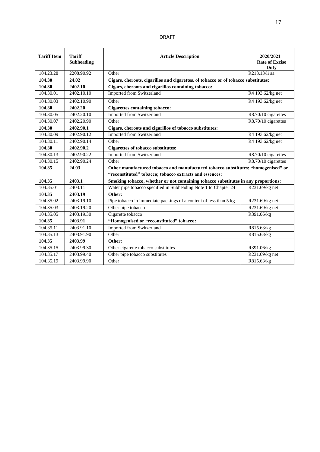| <b>Tariff Item</b> | <b>Tariff</b><br><b>Subheading</b> | <b>Article Description</b>                                                         | 2020/2021<br><b>Rate of Excise</b><br><b>Duty</b> |  |  |  |  |  |
|--------------------|------------------------------------|------------------------------------------------------------------------------------|---------------------------------------------------|--|--|--|--|--|
| 104.23.28          | 2208.90.92                         | Other                                                                              | R213.13/li aa                                     |  |  |  |  |  |
| 104.30             | 24.02                              | Cigars, cheroots, cigarillos and cigarettes, of tobacco or of tobacco substitutes: |                                                   |  |  |  |  |  |
| 104.30             | 2402.10                            | Cigars, cheroots and cigarillos containing tobacco:                                |                                                   |  |  |  |  |  |
| 104.30.01          | 2402.10.10                         | <b>Imported from Switzerland</b>                                                   | R4 193.62/kg net                                  |  |  |  |  |  |
| 104.30.03          | 2402.10.90                         | Other                                                                              | R4 193.62/kg net                                  |  |  |  |  |  |
| 104.30             | 2402.20                            | <b>Cigarettes containing tobacco:</b>                                              |                                                   |  |  |  |  |  |
| 104.30.05          | 2402.20.10                         | <b>Imported from Switzerland</b>                                                   | R8.70/10 cigarettes                               |  |  |  |  |  |
| 104.30.07          | 2402.20.90                         | Other                                                                              | R8.70/10 cigarettes                               |  |  |  |  |  |
| 104.30             | 2402.90.1                          | Cigars, cheroots and cigarillos of tobacco substitutes:                            |                                                   |  |  |  |  |  |
| 104.30.09          | 2402.90.12                         | <b>Imported from Switzerland</b>                                                   | R4 193.62/kg net                                  |  |  |  |  |  |
| 104.30.11          | 2402.90.14                         | Other                                                                              | R4 193.62/kg net                                  |  |  |  |  |  |
| 104.30             | 2402.90.2                          | <b>Cigarettes of tobacco substitutes:</b>                                          |                                                   |  |  |  |  |  |
| 104.30.13          | 2402.90.22                         | <b>Imported from Switzerland</b>                                                   | R8.70/10 cigarettes                               |  |  |  |  |  |
| 104.30.15          | 2402.90.24                         | Other                                                                              | R8.70/10 cigarettes                               |  |  |  |  |  |
| 104.35             | 24.03                              | Other manufactured tobacco and manufactured tobacco substitutes; "homogenised" or  |                                                   |  |  |  |  |  |
|                    |                                    | "reconstituted" tobacco; tobacco extracts and essences:                            |                                                   |  |  |  |  |  |
| 104.35             | 2403.1                             | Smoking tobacco, whether or not containing tobacco substitutes in any proportions: |                                                   |  |  |  |  |  |
| 104.35.01          | 2403.11                            | Water pipe tobacco specified in Subheading Note 1 to Chapter 24<br>R231.69/kg net  |                                                   |  |  |  |  |  |
| 104.35             | 2403.19                            | Other:                                                                             |                                                   |  |  |  |  |  |
| 104.35.02          | 2403.19.10                         | Pipe tobacco in immediate packings of a content of less than 5 kg                  | R231.69/kg net                                    |  |  |  |  |  |
| 104.35.03          | 2403.19.20                         | Other pipe tobacco                                                                 | R231.69/kg net                                    |  |  |  |  |  |
| 104.35.05          | 2403.19.30                         | Cigarette tobacco                                                                  | R391.06/kg                                        |  |  |  |  |  |
| 104.35             | 2403.91                            | "Homogenised or "reconstituted" tobacco:                                           |                                                   |  |  |  |  |  |
| 104.35.11          | 2403.91.10                         | <b>Imported from Switzerland</b>                                                   | R815.63/kg                                        |  |  |  |  |  |
| 104.35.13          | 2403.91.90                         | Other                                                                              | R815.63/kg                                        |  |  |  |  |  |
| 104.35             | 2403.99                            | Other:                                                                             |                                                   |  |  |  |  |  |
| 104.35.15          | 2403.99.30                         | Other cigarette tobacco substitutes                                                | R391.06/kg                                        |  |  |  |  |  |
| 104.35.17          | 2403.99.40                         | Other pipe tobacco substitutes                                                     | R231.69/kg net                                    |  |  |  |  |  |
| 104.35.19          | 2403.99.90                         | Other                                                                              | R815.63/kg                                        |  |  |  |  |  |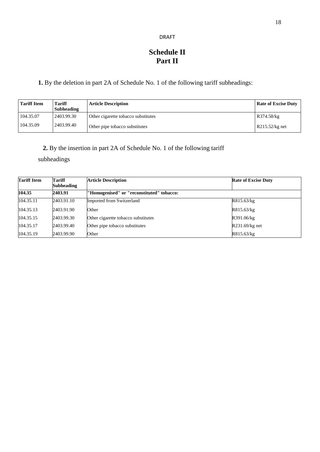## **Schedule II Part II**

**1.** By the deletion in part 2A of Schedule No. 1 of the following tariff subheadings:

| <b>Tariff Item</b> | Tariff<br><b>Subheading</b> | <b>Article Description</b>          | <b>Rate of Excise Duty</b> |
|--------------------|-----------------------------|-------------------------------------|----------------------------|
| 104.35.07          | 2403.99.30                  | Other cigarette tobacco substitutes | R374.58/kg                 |
| 104.35.09          | 2403.99.40                  | Other pipe tobacco substitutes      | $R215.52/kg$ net           |

## **2.** By the insertion in part 2A of Schedule No. 1 of the following tariff

subheadings

| <b>Tariff Item</b> | Tariff<br><b>Subheading</b> | <b>Article Description</b>                | <b>Rate of Excise Duty</b> |
|--------------------|-----------------------------|-------------------------------------------|----------------------------|
| 104.35             | 2403.91                     | "Homogenised" or "reconstituted" tobacco: |                            |
| 104.35.11          | 2403.91.10                  | Imported from Switzerland                 | R815.63/kg                 |
| 104.35.13          | 2403.91.90                  | Other                                     | R815.63/kg                 |
| 104.35.15          | 2403.99.30                  | Other cigarette tobacco substitutes       | R391.06/kg                 |
| 104.35.17          | 2403.99.40                  | Other pipe tobacco substitutes            | $R231.69/kg$ net           |
| 104.35.19          | 2403.99.90                  | Other                                     | R815.63/kg                 |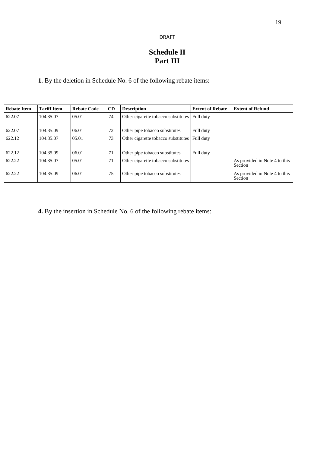## **Schedule II Part III**

**1.** By the deletion in Schedule No. 6 of the following rebate items:

| <b>Rebate Item</b> | <b>Tariff Item</b> | <b>Rebate Code</b> | CD | <b>Description</b>                  | <b>Extent of Rebate</b> | <b>Extent of Refund</b>                         |
|--------------------|--------------------|--------------------|----|-------------------------------------|-------------------------|-------------------------------------------------|
| 622.07             | 104.35.07          | 05.01              | 74 | Other cigarette tobacco substitutes | Full duty               |                                                 |
| 622.07             | 104.35.09          | 06.01              | 72 | Other pipe tobacco substitutes      | Full duty               |                                                 |
| 622.12             | 104.35.07          | 05.01              | 73 | Other cigarette tobacco substitutes | Full duty               |                                                 |
| 622.12             | 104.35.09          | 06.01              | 71 | Other pipe tobacco substitutes      | Full duty               |                                                 |
| 622.22             | 104.35.07          | 05.01              | 71 | Other cigarette tobacco substitutes |                         | As provided in Note 4 to this<br><b>Section</b> |
| 622.22             | 104.35.09          | 06.01              | 75 | Other pipe tobacco substitutes      |                         | As provided in Note 4 to this<br>Section        |

**4.** By the insertion in Schedule No. 6 of the following rebate items: